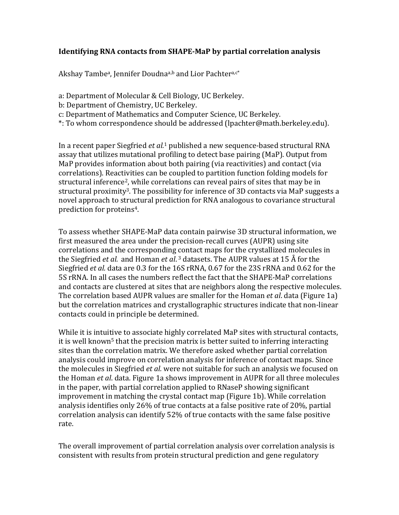## **Identifying RNA contacts from SHAPE-MaP by partial correlation analysis**

Akshay Tambe<sup>a</sup>, Jennifer Doudna<sup>a,b</sup> and Lior Pachter<sup>a,c\*</sup>

- a: Department of Molecular & Cell Biology, UC Berkeley.
- b: Department of Chemistry, UC Berkeley.
- c: Department of Mathematics and Computer Science, UC Berkeley.
- \*: To whom correspondence should be addressed (lpachter@math.berkeley.edu).

In a recent paper Siegfried *et al.*<sup>1</sup> published a new sequence-based structural RNA assay that utilizes mutational profiling to detect base pairing (MaP). Output from MaP provides information about both pairing (via reactivities) and contact (via correlations). Reactivities can be coupled to partition function folding models for structural inference<sup>2</sup>, while correlations can reveal pairs of sites that may be in structural proximity<sup>3</sup>. The possibility for inference of 3D contacts via MaP suggests a novel approach to structural prediction for RNA analogous to covariance structural prediction for proteins<sup>4</sup>.

To assess whether SHAPE-MaP data contain pairwise 3D structural information, we first measured the area under the precision-recall curves (AUPR) using site correlations and the corresponding contact maps for the crystallized molecules in the Siegfried *et al.* and Homan *et al.*<sup>3</sup> datasets. The AUPR values at 15 Å for the Siegfried *et al.* data are 0.3 for the 16S rRNA, 0.67 for the 23S rRNA and 0.62 for the 5S rRNA. In all cases the numbers reflect the fact that the SHAPE-MaP correlations and contacts are clustered at sites that are neighbors along the respective molecules. The correlation based AUPR values are smaller for the Homan *et al*. data (Figure 1a) but the correlation matrices and crystallographic structures indicate that non-linear contacts could in principle be determined.

While it is intuitive to associate highly correlated MaP sites with structural contacts, it is well known<sup>5</sup> that the precision matrix is better suited to inferring interacting sites than the correlation matrix. We therefore asked whether partial correlation analysis could improve on correlation analysis for inference of contact maps. Since the molecules in Siegfried *et al.* were not suitable for such an analysis we focused on the Homan *et al.* data. Figure 1a shows improvement in AUPR for all three molecules in the paper, with partial correlation applied to RNaseP showing significant improvement in matching the crystal contact map (Figure 1b). While correlation analysis identifies only  $26\%$  of true contacts at a false positive rate of  $20\%$ , partial correlation analysis can identify 52% of true contacts with the same false positive rate.

The overall improvement of partial correlation analysis over correlation analysis is consistent with results from protein structural prediction and gene regulatory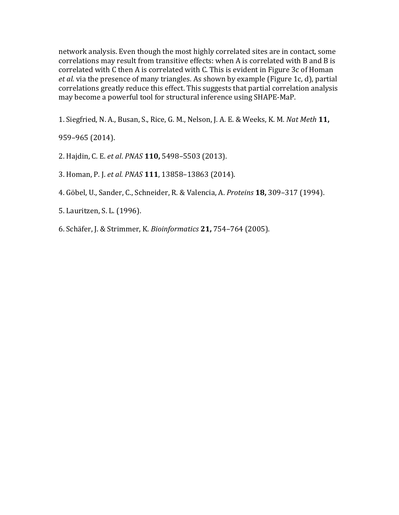network analysis. Even though the most highly correlated sites are in contact, some correlations may result from transitive effects: when A is correlated with B and B is correlated with C then A is correlated with C. This is evident in Figure 3c of Homan *et al.* via the presence of many triangles. As shown by example (Figure 1c, d), partial correlations greatly reduce this effect. This suggests that partial correlation analysis may become a powerful tool for structural inference using SHAPE-MaP.

1. Siegfried, N. A., Busan, S., Rice, G. M., Nelson, J. A. E. & Weeks, K. M. *Nat Meth* 11,

959–965 (2014).

- 2. Hajdin, C. E. et al. *PNAS* **110**, 5498-5503 (2013).
- 3. Homan, P. J. *et al. PNAS* **111**, 13858-13863 (2014).
- 4. Göbel, U., Sander, C., Schneider, R. & Valencia, A. *Proteins* **18,** 309–317 (1994).
- 5. Lauritzen, S. L. (1996).
- 6. Schäfer, J. & Strimmer, K. *Bioinformatics* **21,** 754–764 (2005).